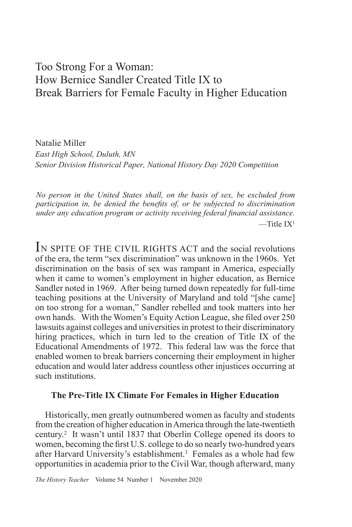# Too Strong For a Woman: How Bernice Sandler Created Title IX to Break Barriers for Female Faculty in Higher Education

Natalie Miller *East High School, Duluth, MN Senior Division Historical Paper, National History Day 2020 Competition*

*No person in the United States shall, on the basis of sex, be excluded from participation in, be denied the benefits of, or be subjected to discrimination under any education program or activity receiving federal financial assistance.*  $-\text{Title } IX^1$ 

IN SPITE OF THE CIVIL RIGHTS ACT and the social revolutions of the era, the term "sex discrimination" was unknown in the 1960s. Yet discrimination on the basis of sex was rampant in America, especially when it came to women's employment in higher education, as Bernice Sandler noted in 1969. After being turned down repeatedly for full-time teaching positions at the University of Maryland and told "[she came] on too strong for a woman," Sandler rebelled and took matters into her own hands. With the Women's Equity Action League, she filed over 250 lawsuits against colleges and universities in protest to their discriminatory hiring practices, which in turn led to the creation of Title IX of the Educational Amendments of 1972. This federal law was the force that enabled women to break barriers concerning their employment in higher education and would later address countless other injustices occurring at such institutions.

## **The Pre-Title IX Climate For Females in Higher Education**

Historically, men greatly outnumbered women as faculty and students from the creation of higher education in America through the late-twentieth century.<sup>2</sup> It wasn't until 1837 that Oberlin College opened its doors to women, becoming the first U.S. college to do so nearly two-hundred years after Harvard University's establishment.<sup>3</sup> Females as a whole had few opportunities in academia prior to the Civil War, though afterward, many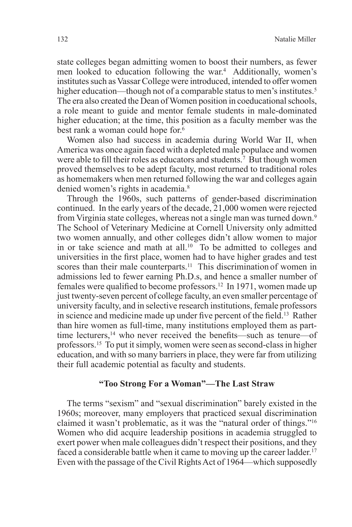state colleges began admitting women to boost their numbers, as fewer men looked to education following the war.4 Additionally, women's institutes such as Vassar College were introduced, intended to offer women higher education—though not of a comparable status to men's institutes.<sup>5</sup> The era also created the Dean of Women position in coeducational schools, a role meant to guide and mentor female students in male-dominated higher education; at the time, this position as a faculty member was the best rank a woman could hope for.6

Women also had success in academia during World War II, when America was once again faced with a depleted male populace and women were able to fill their roles as educators and students.<sup>7</sup> But though women proved themselves to be adept faculty, most returned to traditional roles as homemakers when men returned following the war and colleges again denied women's rights in academia.<sup>8</sup>

Through the 1960s, such patterns of gender-based discrimination continued. In the early years of the decade, 21,000 women were rejected from Virginia state colleges, whereas not a single man was turned down.9 The School of Veterinary Medicine at Cornell University only admitted two women annually, and other colleges didn't allow women to major in or take science and math at all.<sup>10</sup> To be admitted to colleges and universities in the first place, women had to have higher grades and test scores than their male counterparts.<sup>11</sup> This discrimination of women in admissions led to fewer earning Ph.D.s, and hence a smaller number of females were qualified to become professors.12 In 1971, women made up just twenty-seven percent of college faculty, an even smaller percentage of university faculty, and in selective research institutions, female professors in science and medicine made up under five percent of the field.13 Rather than hire women as full-time, many institutions employed them as parttime lecturers,<sup>14</sup> who never received the benefits—such as tenure—of professors.15 To put it simply, women were seen as second-class in higher education, and with so many barriers in place, they were far from utilizing their full academic potential as faculty and students.

### **"Too Strong For a Woman"—The Last Straw**

The terms "sexism" and "sexual discrimination" barely existed in the 1960s; moreover, many employers that practiced sexual discrimination claimed it wasn't problematic, as it was the "natural order of things."16 Women who did acquire leadership positions in academia struggled to exert power when male colleagues didn't respect their positions, and they faced a considerable battle when it came to moving up the career ladder.<sup>17</sup> Even with the passage of the Civil Rights Act of 1964—which supposedly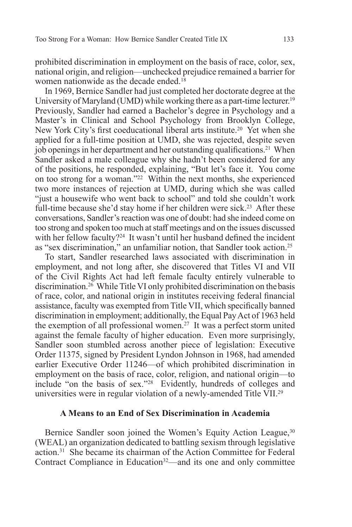prohibited discrimination in employment on the basis of race, color, sex, national origin, and religion—unchecked prejudice remained a barrier for women nationwide as the decade ended.<sup>18</sup>

In 1969, Bernice Sandler had just completed her doctorate degree at the University of Maryland (UMD) while working there as a part-time lecturer.<sup>19</sup> Previously, Sandler had earned a Bachelor's degree in Psychology and a Master's in Clinical and School Psychology from Brooklyn College, New York City's first coeducational liberal arts institute.<sup>20</sup> Yet when she applied for a full-time position at UMD, she was rejected, despite seven job openings in her department and her outstanding qualifications.<sup>21</sup> When Sandler asked a male colleague why she hadn't been considered for any of the positions, he responded, explaining, "But let's face it. You come on too strong for a woman."22 Within the next months, she experienced two more instances of rejection at UMD, during which she was called "just a housewife who went back to school" and told she couldn't work full-time because she'd stay home if her children were sick.<sup>23</sup> After these conversations, Sandler's reaction was one of doubt: had she indeed come on too strong and spoken too much at staff meetings and on the issues discussed with her fellow faculty?<sup>24</sup> It wasn't until her husband defined the incident as "sex discrimination," an unfamiliar notion, that Sandler took action.<sup>25</sup>

To start, Sandler researched laws associated with discrimination in employment, and not long after, she discovered that Titles VI and VII of the Civil Rights Act had left female faculty entirely vulnerable to discrimination.26 While Title VI only prohibited discrimination on the basis of race, color, and national origin in institutes receiving federal financial assistance, faculty was exempted from Title VII, which specifically banned discrimination in employment; additionally, the Equal Pay Act of 1963 held the exemption of all professional women.27 It was a perfect storm united against the female faculty of higher education. Even more surprisingly, Sandler soon stumbled across another piece of legislation: Executive Order 11375, signed by President Lyndon Johnson in 1968, had amended earlier Executive Order 11246—of which prohibited discrimination in employment on the basis of race, color, religion, and national origin—to include "on the basis of sex."28 Evidently, hundreds of colleges and universities were in regular violation of a newly-amended Title VII.<sup>29</sup>

## **A Means to an End of Sex Discrimination in Academia**

Bernice Sandler soon joined the Women's Equity Action League,<sup>30</sup> (WEAL) an organization dedicated to battling sexism through legislative action.31 She became its chairman of the Action Committee for Federal Contract Compliance in Education<sup>32</sup>—and its one and only committee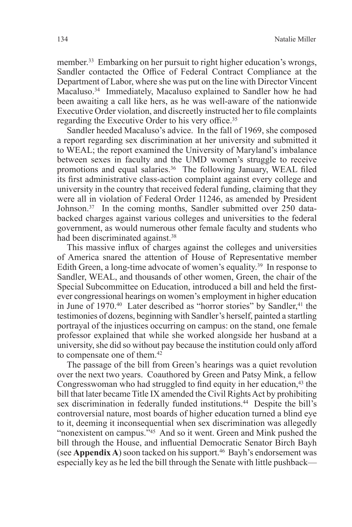member.33 Embarking on her pursuit to right higher education's wrongs, Sandler contacted the Office of Federal Contract Compliance at the Department of Labor, where she was put on the line with Director Vincent Macaluso.34 Immediately, Macaluso explained to Sandler how he had been awaiting a call like hers, as he was well-aware of the nationwide Executive Order violation, and discreetly instructed her to file complaints regarding the Executive Order to his very office.35

Sandler heeded Macaluso's advice. In the fall of 1969, she composed a report regarding sex discrimination at her university and submitted it to WEAL; the report examined the University of Maryland's imbalance between sexes in faculty and the UMD women's struggle to receive promotions and equal salaries.<sup>36</sup> The following January, WEAL filed its first administrative class-action complaint against every college and university in the country that received federal funding, claiming that they were all in violation of Federal Order 11246, as amended by President Johnson.<sup>37</sup> In the coming months, Sandler submitted over 250 databacked charges against various colleges and universities to the federal government, as would numerous other female faculty and students who had been discriminated against.<sup>38</sup>

This massive influx of charges against the colleges and universities of America snared the attention of House of Representative member Edith Green, a long-time advocate of women's equality.39 In response to Sandler, WEAL, and thousands of other women, Green, the chair of the Special Subcommittee on Education, introduced a bill and held the firstever congressional hearings on women's employment in higher education in June of 1970.<sup>40</sup> Later described as "horror stories" by Sandler,<sup>41</sup> the testimonies of dozens, beginning with Sandler's herself, painted a startling portrayal of the injustices occurring on campus: on the stand, one female professor explained that while she worked alongside her husband at a university, she did so without pay because the institution could only afford to compensate one of them.<sup>42</sup>

The passage of the bill from Green's hearings was a quiet revolution over the next two years. Coauthored by Green and Patsy Mink, a fellow Congresswoman who had struggled to find equity in her education,<sup>43</sup> the bill that later became Title IX amended the Civil Rights Act by prohibiting sex discrimination in federally funded institutions.<sup>44</sup> Despite the bill's controversial nature, most boards of higher education turned a blind eye to it, deeming it inconsequential when sex discrimination was allegedly "nonexistent on campus."<sup>45</sup> And so it went. Green and Mink pushed the bill through the House, and influential Democratic Senator Birch Bayh (see **Appendix A**) soon tacked on his support.46 Bayh's endorsement was especially key as he led the bill through the Senate with little pushback—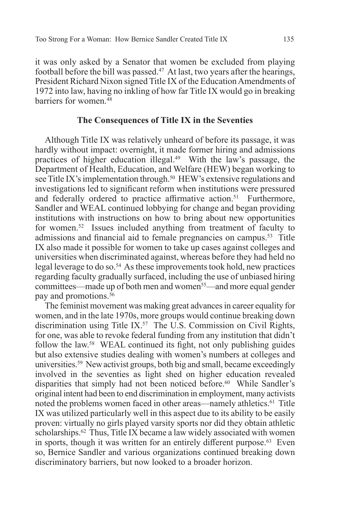it was only asked by a Senator that women be excluded from playing football before the bill was passed.<sup>47</sup> At last, two years after the hearings, President Richard Nixon signed Title IX of the Education Amendments of 1972 into law, having no inkling of how far Title IX would go in breaking barriers for women.<sup>48</sup>

## **The Consequences of Title IX in the Seventies**

Although Title IX was relatively unheard of before its passage, it was hardly without impact: overnight, it made former hiring and admissions practices of higher education illegal.49 With the law's passage, the Department of Health, Education, and Welfare (HEW) began working to see Title IX's implementation through.<sup>50</sup> HEW's extensive regulations and investigations led to significant reform when institutions were pressured and federally ordered to practice affirmative action.<sup>51</sup> Furthermore, Sandler and WEAL continued lobbying for change and began providing institutions with instructions on how to bring about new opportunities for women.52 Issues included anything from treatment of faculty to admissions and financial aid to female pregnancies on campus.<sup>53</sup> Title IX also made it possible for women to take up cases against colleges and universities when discriminated against, whereas before they had held no legal leverage to do so.<sup>54</sup> As these improvements took hold, new practices regarding faculty gradually surfaced, including the use of unbiased hiring committees—made up of both men and women55—and more equal gender pay and promotions.<sup>56</sup>

The feminist movement was making great advances in career equality for women, and in the late 1970s, more groups would continue breaking down discrimination using Title IX.<sup>57</sup> The U.S. Commission on Civil Rights, for one, was able to revoke federal funding from any institution that didn't follow the law.58 WEAL continued its fight, not only publishing guides but also extensive studies dealing with women's numbers at colleges and universities.59 New activist groups, both big and small, became exceedingly involved in the seventies as light shed on higher education revealed disparities that simply had not been noticed before.60 While Sandler's original intent had been to end discrimination in employment, many activists noted the problems women faced in other areas—namely athletics.61 Title IX was utilized particularly well in this aspect due to its ability to be easily proven: virtually no girls played varsity sports nor did they obtain athletic scholarships.<sup>62</sup> Thus, Title IX became a law widely associated with women in sports, though it was written for an entirely different purpose.<sup>63</sup> Even so, Bernice Sandler and various organizations continued breaking down discriminatory barriers, but now looked to a broader horizon.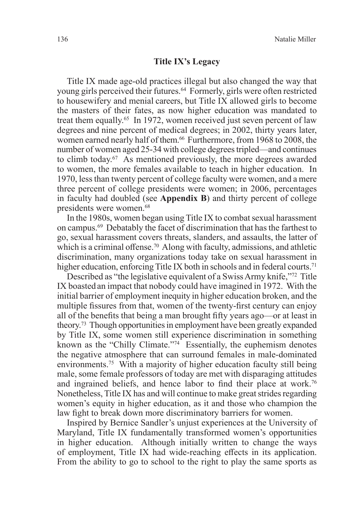### **Title IX's Legacy**

Title IX made age-old practices illegal but also changed the way that young girls perceived their futures.<sup>64</sup> Formerly, girls were often restricted to housewifery and menial careers, but Title IX allowed girls to become the masters of their fates, as now higher education was mandated to treat them equally.<sup>65</sup> In 1972, women received just seven percent of law degrees and nine percent of medical degrees; in 2002, thirty years later, women earned nearly half of them.<sup>66</sup> Furthermore, from 1968 to 2008, the number of women aged 25-34 with college degrees tripled—and continues to climb today.67 As mentioned previously, the more degrees awarded to women, the more females available to teach in higher education. In 1970, less than twenty percent of college faculty were women, and a mere three percent of college presidents were women; in 2006, percentages in faculty had doubled (see **Appendix B**) and thirty percent of college presidents were women.68

In the 1980s, women began using Title IX to combat sexual harassment on campus.69 Debatably the facet of discrimination that has the farthest to go, sexual harassment covers threats, slanders, and assaults, the latter of which is a criminal offense.<sup>70</sup> Along with faculty, admissions, and athletic discrimination, many organizations today take on sexual harassment in higher education, enforcing Title IX both in schools and in federal courts.<sup>71</sup>

Described as "the legislative equivalent of a Swiss Army knife,"72 Title IX boasted an impact that nobody could have imagined in 1972. With the initial barrier of employment inequity in higher education broken, and the multiple fissures from that, women of the twenty-first century can enjoy all of the benefits that being a man brought fifty years ago—or at least in theory.73 Though opportunities in employment have been greatly expanded by Title IX, some women still experience discrimination in something known as the "Chilly Climate."74 Essentially, the euphemism denotes the negative atmosphere that can surround females in male-dominated environments.<sup>75</sup> With a majority of higher education faculty still being male, some female professors of today are met with disparaging attitudes and ingrained beliefs, and hence labor to find their place at work.<sup>76</sup> Nonetheless, Title IX has and will continue to make great strides regarding women's equity in higher education, as it and those who champion the law fight to break down more discriminatory barriers for women.

Inspired by Bernice Sandler's unjust experiences at the University of Maryland, Title IX fundamentally transformed women's opportunities in higher education. Although initially written to change the ways of employment, Title IX had wide-reaching effects in its application. From the ability to go to school to the right to play the same sports as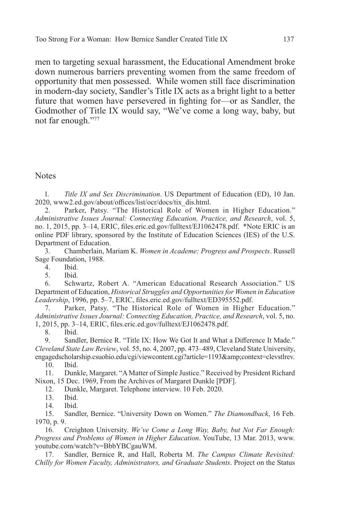men to targeting sexual harassment, the Educational Amendment broke down numerous barriers preventing women from the same freedom of opportunity that men possessed. While women still face discrimination in modern-day society, Sandler's Title IX acts as a bright light to a better future that women have persevered in fighting for—or as Sandler, the Godmother of Title IX would say, "We've come a long way, baby, but not far enough."77

**Notes** 

1. *Title IX and Sex Discrimination*. US Department of Education (ED), 10 Jan. 2020, www2.ed.gov/about/offices/list/ocr/docs/tix\_dis.html.

2. Parker, Patsy. "The Historical Role of Women in Higher Education." *Administrative Issues Journal: Connecting Education, Practice, and Research*, vol. 5, no. 1, 2015, pp. 3–14, ERIC, files.eric.ed.gov/fulltext/EJ1062478.pdf. \*Note ERIC is an online PDF library, sponsored by the Institute of Education Sciences (IES) of the U.S. Department of Education.

3. Chamberlain, Mariam K. *Women in Academe: Progress and Prospects*. Russell Sage Foundation, 1988.

4. Ibid.

5. Ibid.

6. Schwartz, Robert A. "American Educational Research Association." US Department of Education, *Historical Struggles and Opportunities for Women in Education Leadership*, 1996, pp. 5–7, ERIC, files.eric.ed.gov/fulltext/ED395552.pdf.

7. Parker, Patsy. "The Historical Role of Women in Higher Education." *Administrative Issues Journal: Connecting Education, Practice, and Research*, vol. 5, no. 1, 2015, pp. 3–14, ERIC, files.eric.ed.gov/fulltext/EJ1062478.pdf.

8. Ibid.<br>9. Sand Sandler, Bernice R. "Title IX: How We Got It and What a Difference It Made." *Cleveland State Law Review*, vol. 55, no. 4, 2007, pp. 473–489, Cleveland State University, engagedscholarship.csuohio.edu/cgi/viewcontent.cgi?article=1193&context=clevstlrev.

10. Ibid.

11. Dunkle, Margaret. "A Matter of Simple Justice." Received by President Richard Nixon, 15 Dec. 1969, From the Archives of Margaret Dunkle [PDF].

12. Dunkle, Margaret. Telephone interview. 10 Feb. 2020.

- 13. Ibid.
- 14. Ibid.

15. Sandler, Bernice. "University Down on Women." *The Diamondback*, 16 Feb. 1970, p. 9.

16. Creighton University. *We've Come a Long Way, Baby, but Not Far Enough: Progress and Problems of Women in Higher Education*. YouTube, 13 Mar. 2013, www. youtube.com/watch?v=BbbYBCgauWM.

17. Sandler, Bernice R, and Hall, Roberta M. *The Campus Climate Revisited: Chilly for Women Faculty, Administrators, and Graduate Students*. Project on the Status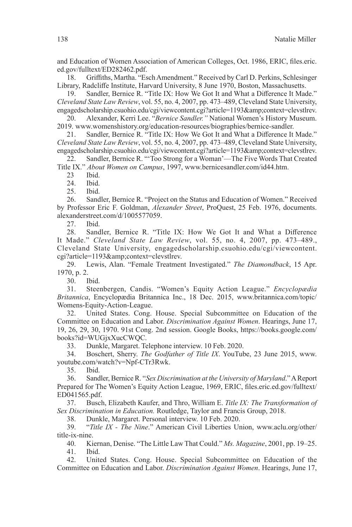and Education of Women Association of American Colleges, Oct. 1986, ERIC, files.eric. ed.gov/fulltext/ED282462.pdf.

18. Griffiths, Martha. "Esch Amendment." Received by Carl D. Perkins, Schlesinger Library, Radcliffe Institute, Harvard University, 8 June 1970, Boston, Massachusetts.

19. Sandler, Bernice R. "Title IX: How We Got It and What a Difference It Made." *Cleveland State Law Review*, vol. 55, no. 4, 2007, pp. 473–489, Cleveland State University, engagedscholarship.csuohio.edu/cgi/viewcontent.cgi?article=1193&context=clevstlrev.

20. Alexander, Kerri Lee. "*Bernice Sandler."* National Women's History Museum. 2019. www.womenshistory.org/education-resources/biographies/bernice-sandler.

21. Sandler, Bernice R. "Title IX: How We Got It and What a Difference It Made." *Cleveland State Law Review*, vol. 55, no. 4, 2007, pp. 473–489, Cleveland State University, engagedscholarship.csuohio.edu/cgi/viewcontent.cgi?article=1193&context=clevstlrev.

22. Sandler, Bernice R. "'Too Strong for a Woman'—The Five Words That Created Title IX." *About Women on Campus*, 1997, www.bernicesandler.com/id44.htm.

23 Ibid.

24. Ibid.

25. Ibid.

26. Sandler, Bernice R. "Project on the Status and Education of Women." Received by Professor Eric F. Goldman, *Alexander Street*, ProQuest, 25 Feb. 1976, documents. alexanderstreet.com/d/1005577059.

27. Ibid.

28. Sandler, Bernice R. "Title IX: How We Got It and What a Difference It Made." *Cleveland State Law Review*, vol. 55, no. 4, 2007, pp. 473–489., Cleveland State University, engagedscholarship.csuohio.edu/cgi/viewcontent. cgi?article=1193&context=clevstlrev.

29. Lewis, Alan. "Female Treatment Investigated." *The Diamondback*, 15 Apr. 1970, p. 2.

30. Ibid.

31. Steenbergen, Candis. "Women's Equity Action League." *Encyclopædia Britannica*, Encyclopædia Britannica Inc., 18 Dec. 2015, www.britannica.com/topic/ Womens-Equity-Action-League.

32. United States. Cong. House. Special Subcommittee on Education of the Committee on Education and Labor. *Discrimination Against Women*. Hearings, June 17, 19, 26, 29, 30, 1970. 91st Cong. 2nd session. Google Books, https://books.google.com/ books?id=WUGjxXucCWQC.

33. Dunkle, Margaret. Telephone interview. 10 Feb. 2020.

34. Boschert, Sherry. *The Godfather of Title IX*. YouTube, 23 June 2015, www. youtube.com/watch?v=Npf-CTr3Rwk.

35. Ibid.

36. Sandler, Bernice R. "*Sex Discrimination at the University of Maryland*." A Report Prepared for The Women's Equity Action League, 1969, ERIC, files.eric.ed.gov/fulltext/ ED041565.pdf.

37. Busch, Elizabeth Kaufer, and Thro, William E. *Title IX: The Transformation of Sex Discrimination in Education.* Routledge, Taylor and Francis Group, 2018.

38. Dunkle, Margaret. Personal interview. 10 Feb. 2020.

39. "*Title IX - The Nine*." American Civil Liberties Union, www.aclu.org/other/ title-ix-nine.

40. Kiernan, Denise. "The Little Law That Could." *Ms. Magazine*, 2001, pp. 19–25. 41. Ibid.

42. United States. Cong. House. Special Subcommittee on Education of the Committee on Education and Labor. *Discrimination Against Women*. Hearings, June 17,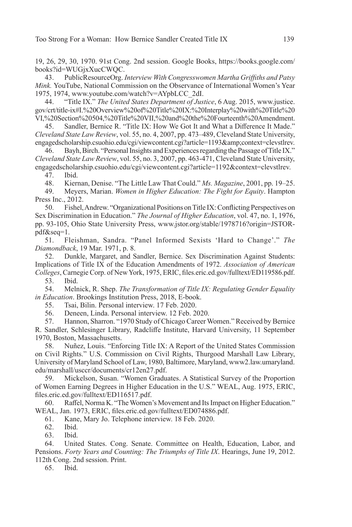19, 26, 29, 30, 1970. 91st Cong. 2nd session. Google Books, https://books.google.com/ books?id=WUGjxXucCWQC.

43. PublicResourceOrg. *Interview With Congresswomen Martha Griffiths and Patsy Mink.* YouTube, National Commission on the Observance of International Women's Year 1975, 1974, www.youtube.com/watch?v=AYpbLCC\_2dI.

44. "Title IX." *The United States Department of Justice*, 6 Aug. 2015, www.justice. gov/crt/title-ix#I.%20Overview%20of%20Title%20IX:%20Interplay%20with%20Title%20 VI,%20Section%20504,%20Title%20VII,%20and%20the%20Fourteenth%20Amendment.

45. Sandler, Bernice R. "Title IX: How We Got It and What a Difference It Made." *Cleveland State Law Review*, vol. 55, no. 4, 2007, pp. 473–489, Cleveland State University, engagedscholarship.csuohio.edu/cgi/viewcontent.cgi?article=1193&context=clevstlrev.

Bayh, Birch. "Personal Insights and Experiences regarding the Passage of Title IX." *Cleveland State Law Review*, vol. 55, no. 3, 2007, pp. 463-471, Cleveland State University, engagedscholarship.csuohio.edu/cgi/viewcontent.cgi?article=1192&context=clevstlrev.

47. Ibid.

48. Kiernan, Denise. "The Little Law That Could." *Ms. Magazine*, 2001, pp. 19–25.

49. Meyers, Marian. *Women in Higher Education: The Fight for Equity*. Hampton Press Inc., 2012.

50. Fishel, Andrew. "Organizational Positions on Title IX: Conflicting Perspectives on Sex Discrimination in Education." *The Journal of Higher Education*, vol. 47, no. 1, 1976, pp. 93-105, Ohio State University Press, www.jstor.org/stable/1978716?origin=JSTORpdf&seq=1.

51. Fleishman, Sandra. "Panel Informed Sexists 'Hard to Change'." *The Diamondback*, 19 Mar. 1971, p. 8.

52. Dunkle, Margaret, and Sandler, Bernice. Sex Discrimination Against Students: Implications of Title IX of the Education Amendments of 1972. *Association of American Colleges*, Carnegie Corp. of New York, 1975, ERIC, files.eric.ed.gov/fulltext/ED119586.pdf.

53. Ibid.

54. Melnick, R. Shep. *The Transformation of Title IX: Regulating Gender Equality in Education*. Brookings Institution Press, 2018, E-book.

55. Tsai, Bilin. Personal interview. 17 Feb. 2020.

56. Deneen, Linda. Personal interview. 12 Feb. 2020.

57. Hannon, Sharron. "1970 Study of Chicago Career Women." Received by Bernice R. Sandler, Schlesinger Library, Radcliffe Institute, Harvard University, 11 September 1970, Boston, Massachusetts.

58. Nuñez, Louis. "Enforcing Title IX: A Report of the United States Commission on Civil Rights." U.S. Commission on Civil Rights, Thurgood Marshall Law Library, University of Maryland School of Law, 1980, Baltimore, Maryland, www2.law.umaryland. edu/marshall/usccr/documents/cr12en27.pdf.

59. Mickelson, Susan. "Women Graduates. A Statistical Survey of the Proportion of Women Earning Degrees in Higher Education in the U.S." WEAL, Aug. 1975, ERIC, files.eric.ed.gov/fulltext/ED116517.pdf.

60. Raffel, Norma K. "The Women's Movement and Its Impact on Higher Education." WEAL, Jan. 1973, ERIC, files.eric.ed.gov/fulltext/ED074886.pdf.

61. Kane, Mary Jo. Telephone interview. 18 Feb. 2020.

62. Ibid.

63. Ibid.

64. United States. Cong. Senate. Committee on Health, Education, Labor, and Pensions. *Forty Years and Counting: The Triumphs of Title IX*. Hearings, June 19, 2012. 112th Cong. 2nd session. Print.

65. Ibid.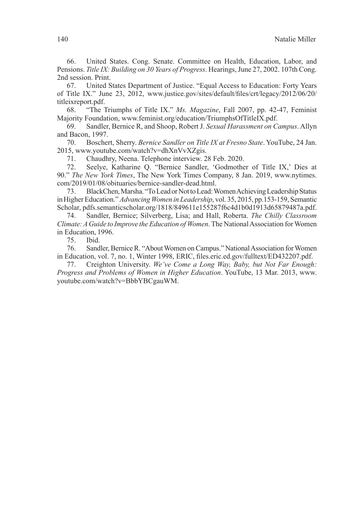66. United States. Cong. Senate. Committee on Health, Education, Labor, and Pensions. *Title IX: Building on 30 Years of Progress*. Hearings, June 27, 2002. 107th Cong. 2nd session. Print.

67. United States Department of Justice. "Equal Access to Education: Forty Years of Title IX." June 23, 2012, www.justice.gov/sites/default/files/crt/legacy/2012/06/20/ titleixreport.pdf.

68. "The Triumphs of Title IX." *Ms. Magazine*, Fall 2007, pp. 42-47, Feminist Majority Foundation, www.feminist.org/education/TriumphsOfTitleIX.pdf.

69. Sandler, Bernice R, and Shoop, Robert J. *Sexual Harassment on Campus*. Allyn and Bacon, 1997.

70. Boschert, Sherry. *Bernice Sandler on Title IX at Fresno State*. YouTube, 24 Jan. 2015, www.youtube.com/watch?v=dhXnVvXZgis.

71. Chaudhry, Neena. Telephone interview. 28 Feb. 2020.

72. Seelye, Katharine Q. "Bernice Sandler, 'Godmother of Title IX,' Dies at 90." *The New York Times*, The New York Times Company, 8 Jan. 2019, www.nytimes. com/2019/01/08/obituaries/bernice-sandler-dead.html.

73. BlackChen, Marsha. "To Lead or Not to Lead: Women Achieving Leadership Status in Higher Education." *Advancing Women in Leadership*, vol. 35, 2015, pp.153-159, Semantic Scholar, pdfs.semanticscholar.org/1818/849611e155287f6c4d1b0d1913d65879487a.pdf.

74. Sandler, Bernice; Silverberg, Lisa; and Hall, Roberta. *The Chilly Classroom Climate: A Guide to Improve the Education of Women*. The National Association for Women in Education, 1996.

75. Ibid.

76. Sandler, Bernice R. "About Women on Campus." National Association for Women in Education, vol. 7, no. 1, Winter 1998, ERIC, files.eric.ed.gov/fulltext/ED432207.pdf.

77. Creighton University. *We've Come a Long Way, Baby, but Not Far Enough: Progress and Problems of Women in Higher Education*. YouTube, 13 Mar. 2013, www. youtube.com/watch?v=BbbYBCgauWM.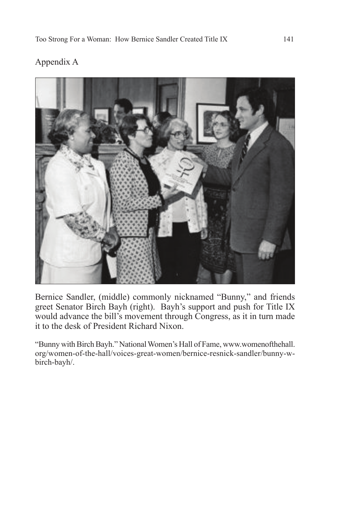## Appendix A



Bernice Sandler, (middle) commonly nicknamed "Bunny," and friends greet Senator Birch Bayh (right). Bayh's support and push for Title IX would advance the bill's movement through Congress, as it in turn made it to the desk of President Richard Nixon.

"Bunny with Birch Bayh." National Women's Hall of Fame, www.womenofthehall. org/women-of-the-hall/voices-great-women/bernice-resnick-sandler/bunny-wbirch-bayh/.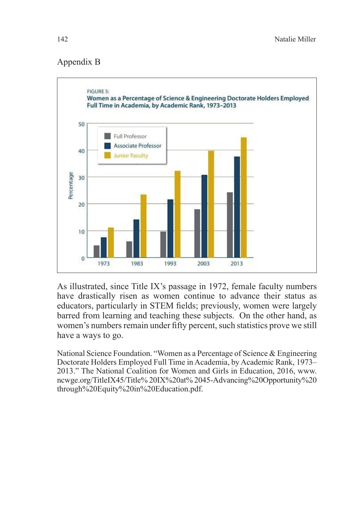## Appendix B



As illustrated, since Title IX's passage in 1972, female faculty numbers have drastically risen as women continue to advance their status as educators, particularly in STEM fields; previously, women were largely barred from learning and teaching these subjects. On the other hand, as women's numbers remain under fifty percent, such statistics prove we still have a ways to go.

National Science Foundation. "Women as a Percentage of Science & Engineering Doctorate Holders Employed Full Time in Academia, by Academic Rank, 1973– 2013." The National Coalition for Women and Girls in Education, 2016, www. ncwge.org/TitleIX45/Title% 20IX%20at% 2045-Advancing%20Opportunity%20 through%20Equity%20in%20Education.pdf.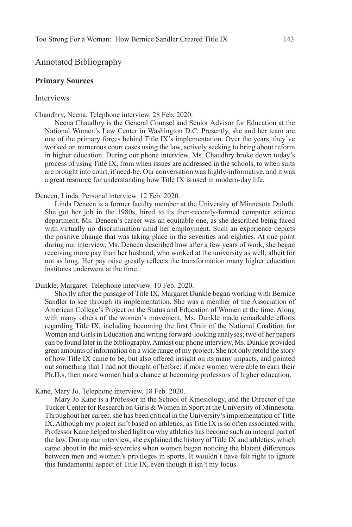## Annotated Bibliography

#### **Primary Sources**

### Interviews

Chaudhry, Neena. Telephone interview. 28 Feb. 2020.

Neena Chaudhry is the General Counsel and Senior Advisor for Education at the National Women's Law Center in Washington D.C. Presently, she and her team are one of the primary forces behind Title IX's implementation. Over the years, they've worked on numerous court cases using the law, actively seeking to bring about reform in higher education. During our phone interview, Ms. Chaudhry broke down today's process of using Title IX, from when issues are addressed in the schools, to when suits are brought into court, if need-be. Our conversation was highly-informative, and it was a great resource for understanding how Title IX is used in modern-day life.

Deneen, Linda. Personal interview. 12 Feb. 2020.

Linda Deneen is a former faculty member at the University of Minnesota Duluth. She got her job in the 1980s, hired to its then-recently-formed computer science department. Ms. Deneen's career was an equitable one, as she described being faced with virtually no discrimination amid her employment. Such an experience depicts the positive change that was taking place in the seventies and eighties. At one point during our interview, Ms. Deneen described how after a few years of work, she began receiving more pay than her husband, who worked at the university as well, albeit for not as long. Her pay raise greatly reflects the transformation many higher education institutes underwent at the time.

Dunkle, Margaret. Telephone interview. 10 Feb. 2020.

Shortly after the passage of Title IX, Margaret Dunkle began working with Bernice Sandler to see through its implementation. She was a member of the Association of American College's Project on the Status and Education of Women at the time. Along with many others of the women's movement, Ms. Dunkle made remarkable efforts regarding Title IX, including becoming the first Chair of the National Coalition for Women and Girls in Education and writing forward-looking analyses; two of her papers can be found later in the bibliography. Amidst our phone interview, Ms. Dunkle provided great amounts of information on a wide range of my project. She not only retold the story of how Title IX came to be, but also offered insight on its many impacts, and pointed out something that I had not thought of before: if more women were able to earn their Ph.D.s, then more women had a chance at becoming professors of higher education.

Kane, Mary Jo. Telephone interview. 18 Feb. 2020.

Mary Jo Kane is a Professor in the School of Kinesiology, and the Director of the Tucker Center for Research on Girls & Women in Sport at the University of Minnesota. Throughout her career, she has been critical in the University's implementation of Title IX. Although my project isn't based on athletics, as Title IX is so often associated with, Professor Kane helped to shed light on why athletics has become such an integral part of the law. During our interview, she explained the history of Title IX and athletics, which came about in the mid-seventies when women began noticing the blatant differences between men and women's privileges in sports. It wouldn't have felt right to ignore this fundamental aspect of Title IX, even though it isn't my focus.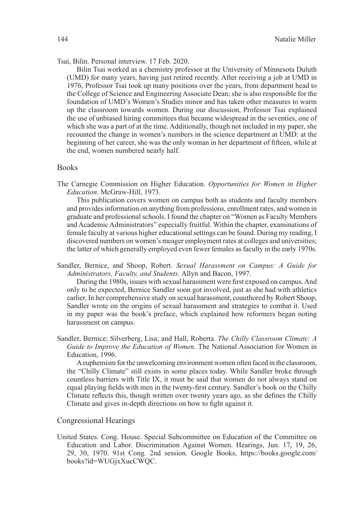Tsai, Bilin. Personal interview. 17 Feb. 2020.

Bilin Tsai worked as a chemistry professor at the University of Minnesota Duluth (UMD) for many years, having just retired recently. After receiving a job at UMD in 1976, Professor Tsai took up many positions over the years, from department head to the College of Science and Engineering Associate Dean; she is also responsible for the foundation of UMD's Women's Studies minor and has taken other measures to warm up the classroom towards women. During our discussion, Professor Tsai explained the use of unbiased hiring committees that became widespread in the seventies, one of which she was a part of at the time. Additionally, though not included in my paper, she recounted the change in women's numbers in the science department at UMD: at the beginning of her career, she was the only woman in her department of fifteen, while at the end, women numbered nearly half.

#### Books

The Carnegie Commission on Higher Education. *Opportunities for Women in Higher Education*. McGraw-Hill, 1973.

This publication covers women on campus both as students and faculty members and provides information on anything from professions, enrollment rates, and women in graduate and professional schools. I found the chapter on "Women as Faculty Members and Academic Administrators" especially fruitful. Within the chapter, examinations of female faculty at various higher educational settings can be found. During my reading, I discovered numbers on women's meager employment rates at colleges and universities; the latter of which generally employed even fewer females as faculty in the early 1970s.

Sandler, Bernice, and Shoop, Robert. *Sexual Harassment on Campus: A Guide for Administrators, Faculty, and Students.* Allyn and Bacon, 1997.

During the 1980s, issues with sexual harassment were first exposed on campus. And only to be expected, Bernice Sandler soon got involved, just as she had with athletics earlier. In her comprehensive study on sexual harassment, coauthored by Robert Shoop, Sandler wrote on the origins of sexual harassment and strategies to combat it. Used in my paper was the book's preface, which explained how reformers began noting harassment on campus.

Sandler, Bernice; Silverberg, Lisa; and Hall, Roberta. *The Chilly Classroom Climate: A Guide to Improve the Education of Women*. The National Association for Women in Education, 1996.

A euphemism for the unwelcoming environment women often faced in the classroom, the "Chilly Climate" still exists in some places today. While Sandler broke through countless barriers with Title IX, it must be said that women do not always stand on equal playing fields with men in the twenty-first century. Sandler's book on the Chilly Climate reflects this, though written over twenty years ago, as she defines the Chilly Climate and gives in-depth directions on how to fight against it.

### Congressional Hearings

United States. Cong. House. Special Subcommittee on Education of the Committee on Education and Labor. Discrimination Against Women. Hearings, Jun. 17, 19, 26, 29, 30, 1970. 91st Cong. 2nd session. Google Books, https://books.google.com/ books?id=WUGjxXucCWQC.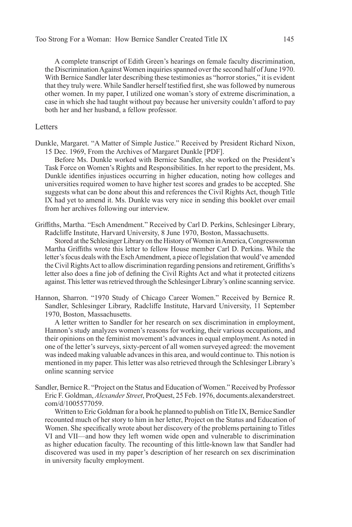A complete transcript of Edith Green's hearings on female faculty discrimination, the Discrimination Against Women inquiries spanned over the second half of June 1970. With Bernice Sandler later describing these testimonies as "horror stories," it is evident that they truly were. While Sandler herself testified first, she was followed by numerous other women. In my paper, I utilized one woman's story of extreme discrimination, a case in which she had taught without pay because her university couldn't afford to pay both her and her husband, a fellow professor.

#### Letters

Dunkle, Margaret. "A Matter of Simple Justice." Received by President Richard Nixon, 15 Dec. 1969, From the Archives of Margaret Dunkle [PDF].

Before Ms. Dunkle worked with Bernice Sandler, she worked on the President's Task Force on Women's Rights and Responsibilities. In her report to the president, Ms. Dunkle identifies injustices occurring in higher education, noting how colleges and universities required women to have higher test scores and grades to be accepted. She suggests what can be done about this and references the Civil Rights Act, though Title IX had yet to amend it. Ms. Dunkle was very nice in sending this booklet over email from her archives following our interview.

Griffiths, Martha. "Esch Amendment." Received by Carl D. Perkins, Schlesinger Library, Radcliffe Institute, Harvard University, 8 June 1970, Boston, Massachusetts.

Stored at the Schlesinger Library on the History of Women in America, Congresswoman Martha Griffiths wrote this letter to fellow House member Carl D. Perkins. While the letter's focus deals with the Esch Amendment, a piece of legislation that would've amended the Civil Rights Act to allow discrimination regarding pensions and retirement, Griffiths's letter also does a fine job of defining the Civil Rights Act and what it protected citizens against. This letter was retrieved through the Schlesinger Library's online scanning service.

Hannon, Sharron. "1970 Study of Chicago Career Women." Received by Bernice R. Sandler, Schlesinger Library, Radcliffe Institute, Harvard University, 11 September 1970, Boston, Massachusetts.

A letter written to Sandler for her research on sex discrimination in employment, Hannon's study analyzes women's reasons for working, their various occupations, and their opinions on the feminist movement's advances in equal employment. As noted in one of the letter's surveys, sixty-percent of all women surveyed agreed: the movement was indeed making valuable advances in this area, and would continue to. This notion is mentioned in my paper. This letter was also retrieved through the Schlesinger Library's online scanning service

Sandler, Bernice R. "Project on the Status and Education of Women." Received by Professor Eric F. Goldman, *Alexander Street*, ProQuest, 25 Feb. 1976, documents.alexanderstreet. com/d/1005577059.

Written to Eric Goldman for a book he planned to publish on Title IX, Bernice Sandler recounted much of her story to him in her letter, Project on the Status and Education of Women. She specifically wrote about her discovery of the problems pertaining to Titles VI and VII—and how they left women wide open and vulnerable to discrimination as higher education faculty. The recounting of this little-known law that Sandler had discovered was used in my paper's description of her research on sex discrimination in university faculty employment.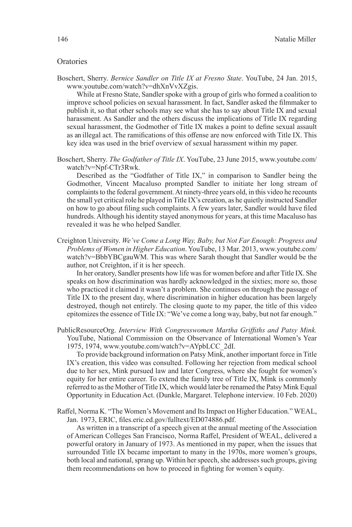#### **Oratories**

Boschert, Sherry. *Bernice Sandler on Title IX at Fresno State*. YouTube, 24 Jan. 2015, www.youtube.com/watch?v=dhXnVvXZgis.

While at Fresno State, Sandler spoke with a group of girls who formed a coalition to improve school policies on sexual harassment. In fact, Sandler asked the filmmaker to publish it, so that other schools may see what she has to say about Title IX and sexual harassment. As Sandler and the others discuss the implications of Title IX regarding sexual harassment, the Godmother of Title IX makes a point to define sexual assault as an illegal act. The ramifications of this offense are now enforced with Title IX. This key idea was used in the brief overview of sexual harassment within my paper.

Boschert, Sherry. *The Godfather of Title IX*. YouTube, 23 June 2015, www.youtube.com/ watch?v=Npf-CTr3Rwk.

Described as the "Godfather of Title IX," in comparison to Sandler being the Godmother, Vincent Macaluso prompted Sandler to initiate her long stream of complaints to the federal government. At ninety-three years old, in this video he recounts the small yet critical role he played in Title IX's creation, as he quietly instructed Sandler on how to go about filing such complaints. A few years later, Sandler would have filed hundreds. Although his identity stayed anonymous for years, at this time Macaluso has revealed it was he who helped Sandler.

Creighton University. *We've Come a Long Way, Baby, but Not Far Enough: Progress and Problems of Women in Higher Education*. YouTube, 13 Mar. 2013, www.youtube.com/ watch?v=BbbYBCgauWM. This was where Sarah thought that Sandler would be the author, not Creighton, if it is her speech.

In her oratory, Sandler presents how life was for women before and after Title IX. She speaks on how discrimination was hardly acknowledged in the sixties; more so, those who practiced it claimed it wasn't a problem. She continues on through the passage of Title IX to the present day, where discrimination in higher education has been largely destroyed, though not entirely. The closing quote to my paper, the title of this video epitomizes the essence of Title IX: "We've come a long way, baby, but not far enough."

PublicResourceOrg. *Interview With Congresswomen Martha Griffiths and Patsy Mink.*  YouTube, National Commission on the Observance of International Women's Year 1975, 1974, www.youtube.com/watch?v=AYpbLCC\_2dI.

To provide background information on Patsy Mink, another important force in Title IX's creation, this video was consulted. Following her rejection from medical school due to her sex, Mink pursued law and later Congress, where she fought for women's equity for her entire career. To extend the family tree of Title IX, Mink is commonly referred to as the Mother of Title IX, which would later be renamed the Patsy Mink Equal Opportunity in Education Act. (Dunkle, Margaret. Telephone interview. 10 Feb. 2020)

Raffel, Norma K. "The Women's Movement and Its Impact on Higher Education." WEAL, Jan. 1973, ERIC, files.eric.ed.gov/fulltext/ED074886.pdf.

As written in a transcript of a speech given at the annual meeting of the Association of American Colleges San Francisco, Norma Raffel, President of WEAL, delivered a powerful oratory in January of 1973. As mentioned in my paper, when the issues that surrounded Title IX became important to many in the 1970s, more women's groups, both local and national, sprang up. Within her speech, she addresses such groups, giving them recommendations on how to proceed in fighting for women's equity.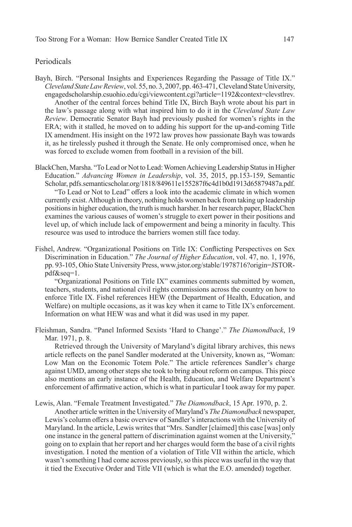### Periodicals

- Bayh, Birch. "Personal Insights and Experiences Regarding the Passage of Title IX." *Cleveland State Law Review*, vol. 55, no. 3, 2007, pp. 463-471, Cleveland State University, engagedscholarship.csuohio.edu/cgi/viewcontent.cgi?article=1192&context=clevstlrev. Another of the central forces behind Title IX, Birch Bayh wrote about his part in the law's passage along with what inspired him to do it in the *Cleveland State Law Review*. Democratic Senator Bayh had previously pushed for women's rights in the ERA; with it stalled, he moved on to adding his support for the up-and-coming Title IX amendment. His insight on the 1972 law proves how passionate Bayh was towards it, as he tirelessly pushed it through the Senate. He only compromised once, when he was forced to exclude women from football in a revision of the bill.
- BlackChen, Marsha. "To Lead or Not to Lead: Women Achieving Leadership Status in Higher Education." *Advancing Women in Leadership*, vol. 35, 2015, pp.153-159, Semantic Scholar, pdfs.semanticscholar.org/1818/849611e155287f6c4d1b0d1913d65879487a.pdf. "To Lead or Not to Lead" offers a look into the academic climate in which women currently exist. Although in theory, nothing holds women back from taking up leadership positions in higher education, the truth is much harsher. In her research paper, BlackChen examines the various causes of women's struggle to exert power in their positions and level up, of which include lack of empowerment and being a minority in faculty. This resource was used to introduce the barriers women still face today.
- Fishel, Andrew. "Organizational Positions on Title IX: Conflicting Perspectives on Sex Discrimination in Education." *The Journal of Higher Education*, vol. 47, no. 1, 1976, pp. 93-105, Ohio State University Press, www.jstor.org/stable/1978716?origin=JSTORpdf&seq=1.

"Organizational Positions on Title IX" examines comments submitted by women, teachers, students, and national civil rights commissions across the country on how to enforce Title IX. Fishel references HEW (the Department of Health, Education, and Welfare) on multiple occasions, as it was key when it came to Title IX's enforcement. Information on what HEW was and what it did was used in my paper.

Fleishman, Sandra. "Panel Informed Sexists 'Hard to Change'." *The Diamondback*, 19 Mar. 1971, p. 8.

Retrieved through the University of Maryland's digital library archives, this news article reflects on the panel Sandler moderated at the University, known as, "Woman: Low Man on the Economic Totem Pole." The article references Sandler's charge against UMD, among other steps she took to bring about reform on campus. This piece also mentions an early instance of the Health, Education, and Welfare Department's enforcement of affirmative action, which is what in particular I took away for my paper.

Lewis, Alan. "Female Treatment Investigated." *The Diamondback*, 15 Apr. 1970, p. 2.

Another article written in the University of Maryland's *The Diamondback* newspaper, Lewis's column offers a basic overview of Sandler's interactions with the University of Maryland. In the article, Lewis writes that "Mrs. Sandler [claimed] this case [was] only one instance in the general pattern of discrimination against women at the University," going on to explain that her report and her charges would form the base of a civil rights investigation. I noted the mention of a violation of Title VII within the article, which wasn't something I had come across previously, so this piece was useful in the way that it tied the Executive Order and Title VII (which is what the E.O. amended) together.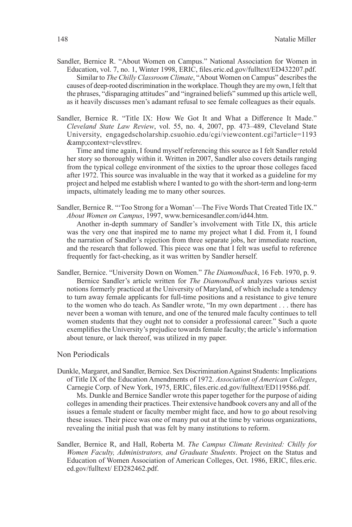- Sandler, Bernice R. "About Women on Campus." National Association for Women in Education, vol. 7, no. 1, Winter 1998, ERIC, files.eric.ed.gov/fulltext/ED432207.pdf. Similar to *The Chilly Classroom Climate*, "About Women on Campus" describes the causes of deep-rooted discrimination in the workplace. Though they are my own, I felt that the phrases, "disparaging attitudes" and "ingrained beliefs" summed up this article well, as it heavily discusses men's adamant refusal to see female colleagues as their equals.
- Sandler, Bernice R. "Title IX: How We Got It and What a Difference It Made." *Cleveland State Law Review*, vol. 55, no. 4, 2007, pp. 473–489, Cleveland State University, engagedscholarship.csuohio.edu/cgi/viewcontent.cgi?article=1193 &context=clevstlrev.

Time and time again, I found myself referencing this source as I felt Sandler retold her story so thoroughly within it. Written in 2007, Sandler also covers details ranging from the typical college environment of the sixties to the uproar those colleges faced after 1972. This source was invaluable in the way that it worked as a guideline for my project and helped me establish where I wanted to go with the short-term and long-term impacts, ultimately leading me to many other sources.

Sandler, Bernice R. "'Too Strong for a Woman'—The Five Words That Created Title IX." *About Women on Campus*, 1997, www.bernicesandler.com/id44.htm.

Another in-depth summary of Sandler's involvement with Title IX, this article was the very one that inspired me to name my project what I did. From it, I found the narration of Sandler's rejection from three separate jobs, her immediate reaction, and the research that followed. This piece was one that I felt was useful to reference frequently for fact-checking, as it was written by Sandler herself.

Sandler, Bernice. "University Down on Women." *The Diamondback*, 16 Feb. 1970, p. 9. Bernice Sandler's article written for *The Diamondback* analyzes various sexist notions formerly practiced at the University of Maryland, of which include a tendency to turn away female applicants for full-time positions and a resistance to give tenure to the women who do teach. As Sandler wrote, "In my own department . . . there has never been a woman with tenure, and one of the tenured male faculty continues to tell women students that they ought not to consider a professional career." Such a quote exemplifies the University's prejudice towards female faculty; the article's information about tenure, or lack thereof, was utilized in my paper.

### Non Periodicals

Dunkle, Margaret, and Sandler, Bernice. Sex Discrimination Against Students: Implications of Title IX of the Education Amendments of 1972. *Association of American Colleges*, Carnegie Corp. of New York, 1975, ERIC, files.eric.ed.gov/fulltext/ED119586.pdf.

Ms. Dunkle and Bernice Sandler wrote this paper together for the purpose of aiding colleges in amending their practices. Their extensive handbook covers any and all of the issues a female student or faculty member might face, and how to go about resolving these issues. Their piece was one of many put out at the time by various organizations, revealing the initial push that was felt by many institutions to reform.

Sandler, Bernice R, and Hall, Roberta M. *The Campus Climate Revisited: Chilly for Women Faculty, Administrators, and Graduate Students*. Project on the Status and Education of Women Association of American Colleges, Oct. 1986, ERIC, files.eric. ed.gov/fulltext/ ED282462.pdf.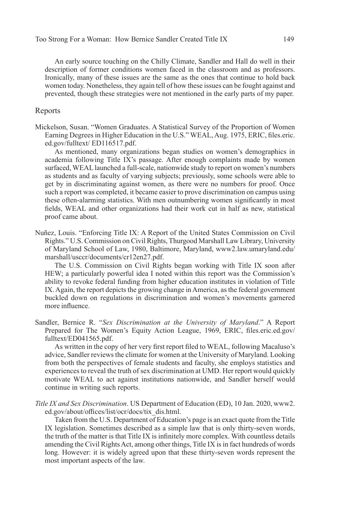An early source touching on the Chilly Climate, Sandler and Hall do well in their description of former conditions women faced in the classroom and as professors. Ironically, many of these issues are the same as the ones that continue to hold back women today. Nonetheless, they again tell of how these issues can be fought against and prevented, though these strategies were not mentioned in the early parts of my paper.

#### Reports

Mickelson, Susan. "Women Graduates. A Statistical Survey of the Proportion of Women Earning Degrees in Higher Education in the U.S." WEAL, Aug. 1975, ERIC, files.eric. ed.gov/fulltext/ ED116517.pdf.

As mentioned, many organizations began studies on women's demographics in academia following Title IX's passage. After enough complaints made by women surfaced, WEAL launched a full-scale, nationwide study to report on women's numbers as students and as faculty of varying subjects; previously, some schools were able to get by in discriminating against women, as there were no numbers for proof. Once such a report was completed, it became easier to prove discrimination on campus using these often-alarming statistics. With men outnumbering women significantly in most fields, WEAL and other organizations had their work cut in half as new, statistical proof came about.

Nuñez, Louis. "Enforcing Title IX: A Report of the United States Commission on Civil Rights." U.S. Commission on Civil Rights, Thurgood Marshall Law Library, University of Maryland School of Law, 1980, Baltimore, Maryland, www2.law.umaryland.edu/ marshall/usccr/documents/cr12en27.pdf.

The U.S. Commission on Civil Rights began working with Title IX soon after HEW; a particularly powerful idea I noted within this report was the Commission's ability to revoke federal funding from higher education institutes in violation of Title IX. Again, the report depicts the growing change in America, as the federal government buckled down on regulations in discrimination and women's movements garnered more influence.

Sandler, Bernice R. "*Sex Discrimination at the University of Maryland*." A Report Prepared for The Women's Equity Action League, 1969, ERIC, files.eric.ed.gov/ fulltext/ED041565.pdf.

As written in the copy of her very first report filed to WEAL, following Macaluso's advice, Sandler reviews the climate for women at the University of Maryland. Looking from both the perspectives of female students and faculty, she employs statistics and experiences to reveal the truth of sex discrimination at UMD. Her report would quickly motivate WEAL to act against institutions nationwide, and Sandler herself would continue in writing such reports.

*Title IX and Sex Discrimination*. US Department of Education (ED), 10 Jan. 2020, www2. ed.gov/about/offices/list/ocr/docs/tix\_dis.html.

Taken from the U.S. Department of Education's page is an exact quote from the Title IX legislation. Sometimes described as a simple law that is only thirty-seven words, the truth of the matter is that Title IX is infinitely more complex. With countless details amending the Civil Rights Act, among other things, Title IX is in fact hundreds of words long. However: it is widely agreed upon that these thirty-seven words represent the most important aspects of the law.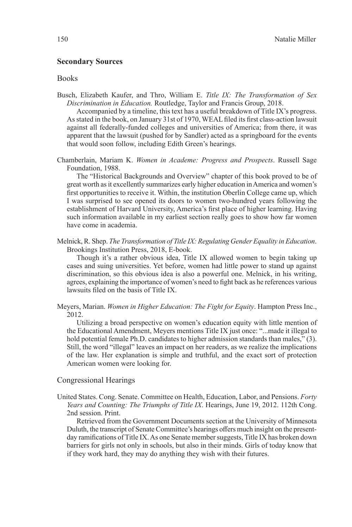#### **Secondary Sources**

#### **Books**

Busch, Elizabeth Kaufer, and Thro, William E. *Title IX: The Transformation of Sex Discrimination in Education.* Routledge, Taylor and Francis Group, 2018.

Accompanied by a timeline, this text has a useful breakdown of Title IX's progress. As stated in the book, on January 31st of 1970, WEAL filed its first class-action lawsuit against all federally-funded colleges and universities of America; from there, it was apparent that the lawsuit (pushed for by Sandler) acted as a springboard for the events that would soon follow, including Edith Green's hearings.

Chamberlain, Mariam K. *Women in Academe: Progress and Prospects*. Russell Sage Foundation, 1988.

The "Historical Backgrounds and Overview" chapter of this book proved to be of great worth as it excellently summarizes early higher education in America and women's first opportunities to receive it. Within, the institution Oberlin College came up, which I was surprised to see opened its doors to women two-hundred years following the establishment of Harvard University, America's first place of higher learning. Having such information available in my earliest section really goes to show how far women have come in academia.

Melnick, R. Shep. *The Transformation of Title IX: Regulating Gender Equality in Education*. Brookings Institution Press, 2018, E-book.

Though it's a rather obvious idea, Title IX allowed women to begin taking up cases and suing universities. Yet before, women had little power to stand up against discrimination, so this obvious idea is also a powerful one. Melnick, in his writing, agrees, explaining the importance of women's need to fight back as he references various lawsuits filed on the basis of Title IX.

Meyers, Marian. *Women in Higher Education: The Fight for Equity*. Hampton Press Inc., 2012.

Utilizing a broad perspective on women's education equity with little mention of the Educational Amendment, Meyers mentions Title IX just once: "...made it illegal to hold potential female Ph.D. candidates to higher admission standards than males," (3). Still, the word "illegal" leaves an impact on her readers, as we realize the implications of the law. Her explanation is simple and truthful, and the exact sort of protection American women were looking for.

#### Congressional Hearings

United States. Cong. Senate. Committee on Health, Education, Labor, and Pensions. *Forty Years and Counting: The Triumphs of Title IX*. Hearings, June 19, 2012. 112th Cong. 2nd session. Print.

Retrieved from the Government Documents section at the University of Minnesota Duluth, the transcript of Senate Committee's hearings offers much insight on the presentday ramifications of Title IX. As one Senate member suggests, Title IX has broken down barriers for girls not only in schools, but also in their minds. Girls of today know that if they work hard, they may do anything they wish with their futures.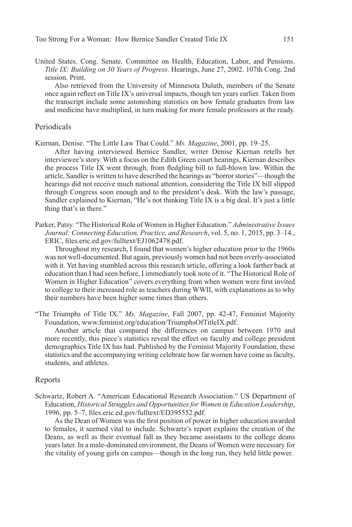United States. Cong. Senate. Committee on Health, Education, Labor, and Pensions. *Title IX: Building on 30 Years of Progress*. Hearings, June 27, 2002. 107th Cong. 2nd session. Print.

Also retrieved from the University of Minnesota Duluth, members of the Senate once again reflect on Title IX's universal impacts, though ten years earlier. Taken from the transcript include some astonishing statistics on how female graduates from law and medicine have multiplied, in turn making for more female professors at the ready.

#### Periodicals

Kiernan, Denise. "The Little Law That Could." *Ms. Magazine*, 2001, pp. 19–25.

After having interviewed Bernice Sandler, writer Denise Kiernan retells her interviewee's story. With a focus on the Edith Green court hearings, Kiernan describes the process Title IX went through, from fledgling bill to full-blown law. Within the article, Sandler is written to have described the hearings as "horror stories"—though the hearings did not receive much national attention, considering the Title IX bill slipped through Congress soon enough and to the president's desk. With the law's passage, Sandler explained to Kiernan, "He's not thinking Title IX is a big deal. It's just a little thing that's in there."

Parker, Patsy. "The Historical Role of Women in Higher Education." *Administrative Issues Journal: Connecting Education, Practice, and Research*, vol. 5, no. 1, 2015, pp. 3–14., ERIC, files.eric.ed.gov/fulltext/EJ1062478.pdf.

Throughout my research, I found that women's higher education prior to the 1960s was not well-documented. But again, previously women had not been overly-associated with it. Yet having stumbled across this research article, offering a look farther back at education than I had seen before, I immediately took note of it. "The Historical Role of Women in Higher Education" covers everything from when women were first invited to college to their increased role as teachers during WWII, with explanations as to why their numbers have been higher some times than others.

"The Triumphs of Title IX." *Ms. Magazine*, Fall 2007, pp. 42-47, Feminist Majority Foundation, www.feminist.org/education/TriumphsOfTitleIX.pdf.

Another article that compared the differences on campus between 1970 and more recently, this piece's statistics reveal the effect on faculty and college president demographics Title IX has had. Published by the Feminist Majority Foundation, these statistics and the accompanying writing celebrate how far women have come as faculty, students, and athletes.

#### Reports

Schwartz, Robert A. "American Educational Research Association." US Department of Education, *Historical Struggles and Opportunities for Women in Education Leadership*, 1996, pp. 5–7, files.eric.ed.gov/fulltext/ED395552.pdf.

As the Dean of Women was the first position of power in higher education awarded to females, it seemed vital to include. Schwartz's report explains the creation of the Deans, as well as their eventual fall as they became assistants to the college deans years later. In a male-dominated environment, the Deans of Women were necessary for the vitality of young girls on campus—though in the long run, they held little power.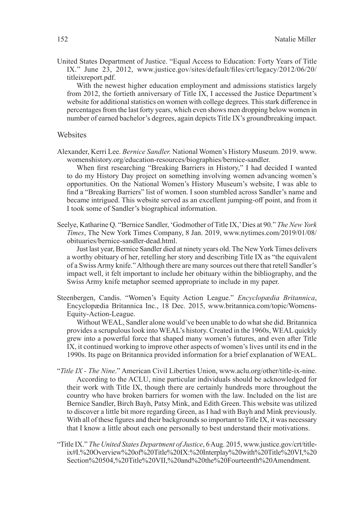United States Department of Justice. "Equal Access to Education: Forty Years of Title IX." June 23, 2012, www.justice.gov/sites/default/files/crt/legacy/2012/06/20/ titleixreport.pdf.

With the newest higher education employment and admissions statistics largely from 2012, the fortieth anniversary of Title IX, I accessed the Justice Department's website for additional statistics on women with college degrees. This stark difference in percentages from the last forty years, which even shows men dropping below women in number of earned bachelor's degrees, again depicts Title IX's groundbreaking impact.

## Websites

Alexander, Kerri Lee. *Bernice Sandler.* National Women's History Museum. 2019. www. womenshistory.org/education-resources/biographies/bernice-sandler.

When first researching "Breaking Barriers in History," I had decided I wanted to do my History Day project on something involving women advancing women's opportunities. On the National Women's History Museum's website, I was able to find a "Breaking Barriers" list of women. I soon stumbled across Sandler's name and became intrigued. This website served as an excellent jumping-off point, and from it I took some of Sandler's biographical information.

Seelye, Katharine Q. "Bernice Sandler, 'Godmother of Title IX,' Dies at 90." *The New York Times*, The New York Times Company, 8 Jan. 2019, www.nytimes.com/2019/01/08/ obituaries/bernice-sandler-dead.html.

Just last year, Bernice Sandler died at ninety years old. The New York Times delivers a worthy obituary of her, retelling her story and describing Title IX as "the equivalent of a Swiss Army knife." Although there are many sources out there that retell Sandler's impact well, it felt important to include her obituary within the bibliography, and the Swiss Army knife metaphor seemed appropriate to include in my paper.

Steenbergen, Candis. "Women's Equity Action League." *Encyclopædia Britannica*, Encyclopædia Britannica Inc., 18 Dec. 2015, www.britannica.com/topic/Womens-Equity-Action-League.

Without WEAL, Sandler alone would've been unable to do what she did. Britannica provides a scrupulous look into WEAL's history. Created in the 1960s, WEAL quickly grew into a powerful force that shaped many women's futures, and even after Title IX, it continued working to improve other aspects of women's lives until its end in the 1990s. Its page on Britannica provided information for a brief explanation of WEAL.

- "*Title IX The Nine*." American Civil Liberties Union, www.aclu.org/other/title-ix-nine. According to the ACLU, nine particular individuals should be acknowledged for their work with Title IX, though there are certainly hundreds more throughout the country who have broken barriers for women with the law. Included on the list are Bernice Sandler, Birch Bayh, Patsy Mink, and Edith Green. This website was utilized to discover a little bit more regarding Green, as I had with Bayh and Mink previously. With all of these figures and their backgrounds so important to Title IX, it was necessary that I know a little about each one personally to best understand their motivations.
- "Title IX." *The United States Department of Justice*, 6 Aug. 2015, www.justice.gov/crt/titleix#I.%20Overview%20of%20Title%20IX:%20Interplay%20with%20Title%20VI,%20 Section%20504,%20Title%20VII,%20and%20the%20Fourteenth%20Amendment.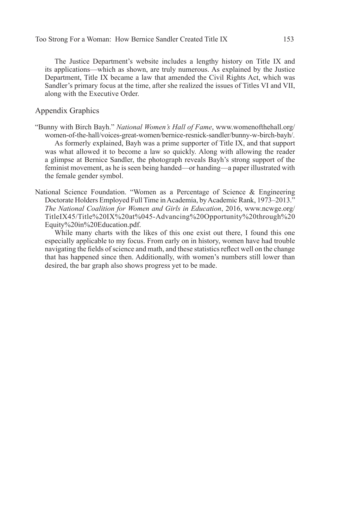The Justice Department's website includes a lengthy history on Title IX and its applications—which as shown, are truly numerous. As explained by the Justice Department, Title IX became a law that amended the Civil Rights Act, which was Sandler's primary focus at the time, after she realized the issues of Titles VI and VII, along with the Executive Order.

#### Appendix Graphics

- "Bunny with Birch Bayh." *National Women's Hall of Fame*, www.womenofthehall.org/ women-of-the-hall/voices-great-women/bernice-resnick-sandler/bunny-w-birch-bayh/. As formerly explained, Bayh was a prime supporter of Title IX, and that support was what allowed it to become a law so quickly. Along with allowing the reader a glimpse at Bernice Sandler, the photograph reveals Bayh's strong support of the feminist movement, as he is seen being handed—or handing—a paper illustrated with the female gender symbol.
- National Science Foundation. "Women as a Percentage of Science & Engineering Doctorate Holders Employed Full Time in Academia, by Academic Rank, 1973–2013." *The National Coalition for Women and Girls in Education*, 2016, www.ncwge.org/ TitleIX45/Title%20IX%20at%045-Advancing%20Opportunity%20through%20 Equity%20in%20Education.pdf.

While many charts with the likes of this one exist out there, I found this one especially applicable to my focus. From early on in history, women have had trouble navigating the fields of science and math, and these statistics reflect well on the change that has happened since then. Additionally, with women's numbers still lower than desired, the bar graph also shows progress yet to be made.